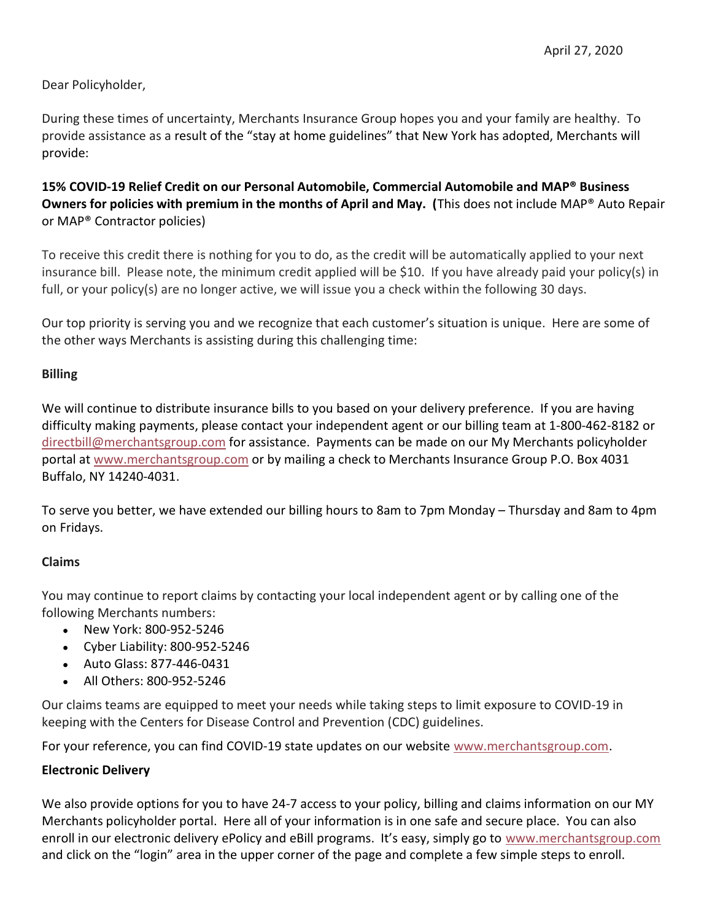Dear Policyholder,

During these times of uncertainty, Merchants Insurance Group hopes you and your family are healthy. To provide assistance as a result of the "stay at home guidelines" that New York has adopted, Merchants will provide:

## 15% COVID-19 Relief Credit on our Personal Automobile, Commercial Automobile and MAP® Business Owners for policies with premium in the months of April and May. (This does not include MAP® Auto Repair or MAP® Contractor policies)

To receive this credit there is nothing for you to do, as the credit will be automatically applied to your next insurance bill. Please note, the minimum credit applied will be \$10. If you have already paid your policy(s) in full, or your policy(s) are no longer active, we will issue you a check within the following 30 days.

Our top priority is serving you and we recognize that each customer's situation is unique. Here are some of the other ways Merchants is assisting during this challenging time:

## Billing

We will continue to distribute insurance bills to you based on your delivery preference. If you are having difficulty making payments, please contact your independent agent or our billing team at 1-800-462-8182 or directbill@merchantsgroup.com for assistance. Payments can be made on our My Merchants policyholder portal at www.merchantsgroup.com or by mailing a check to Merchants Insurance Group P.O. Box 4031 Buffalo, NY 14240-4031.

To serve you better, we have extended our billing hours to 8am to 7pm Monday – Thursday and 8am to 4pm on Fridays.

## Claims

You may continue to report claims by contacting your local independent agent or by calling one of the following Merchants numbers:

- New York: 800-952-5246
- Cyber Liability: 800-952-5246
- Auto Glass: 877-446-0431
- All Others: 800-952-5246

Our claims teams are equipped to meet your needs while taking steps to limit exposure to COVID-19 in keeping with the Centers for Disease Control and Prevention (CDC) guidelines.

For your reference, you can find COVID-19 state updates on our website www.merchantsgroup.com.

## Electronic Delivery

We also provide options for you to have 24-7 access to your policy, billing and claims information on our MY Merchants policyholder portal. Here all of your information is in one safe and secure place. You can also enroll in our electronic delivery ePolicy and eBill programs. It's easy, simply go to www.merchantsgroup.com and click on the "login" area in the upper corner of the page and complete a few simple steps to enroll.